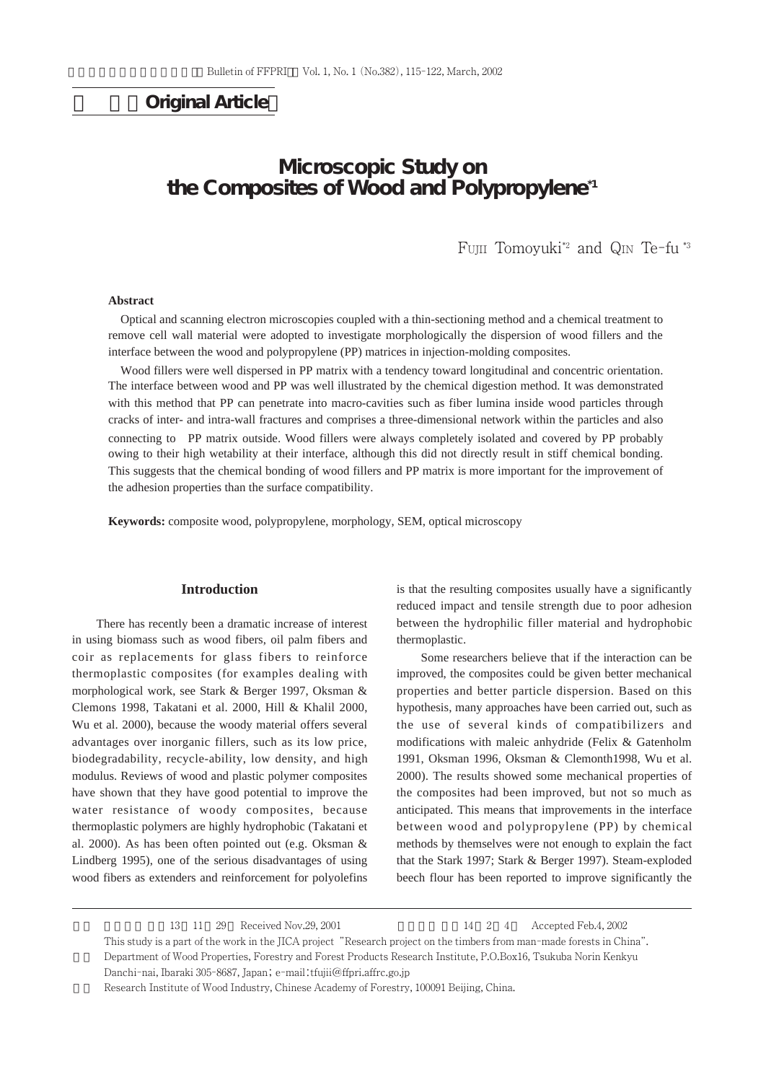# **Original Article**

# **Microscopic Study on the Composites of Wood and Polypropylene\*1**

FUJII Tomoyuki\*2 and QIN Te-fu \*3

### **Abstract**

Optical and scanning electron microscopies coupled with a thin-sectioning method and a chemical treatment to remove cell wall material were adopted to investigate morphologically the dispersion of wood fillers and the interface between the wood and polypropylene (PP) matrices in injection-molding composites.

Wood fillers were well dispersed in PP matrix with a tendency toward longitudinal and concentric orientation. The interface between wood and PP was well illustrated by the chemical digestion method. It was demonstrated with this method that PP can penetrate into macro-cavities such as fiber lumina inside wood particles through cracks of inter- and intra-wall fractures and comprises a three-dimensional network within the particles and also connecting to PP matrix outside. Wood fillers were always completely isolated and covered by PP probably owing to their high wetability at their interface, although this did not directly result in stiff chemical bonding. This suggests that the chemical bonding of wood fillers and PP matrix is more important for the improvement of the adhesion properties than the surface compatibility.

**Keywords:** composite wood, polypropylene, morphology, SEM, optical microscopy

### **Introduction**

There has recently been a dramatic increase of interest in using biomass such as wood fibers, oil palm fibers and coir as replacements for glass fibers to reinforce thermoplastic composites (for examples dealing with morphological work, see Stark & Berger 1997, Oksman & Clemons 1998, Takatani et al. 2000, Hill & Khalil 2000, Wu et al. 2000), because the woody material offers several advantages over inorganic fillers, such as its low price, biodegradability, recycle-ability, low density, and high modulus. Reviews of wood and plastic polymer composites have shown that they have good potential to improve the water resistance of woody composites, because thermoplastic polymers are highly hydrophobic (Takatani et al. 2000). As has been often pointed out (e.g. Oksman & Lindberg 1995), one of the serious disadvantages of using wood fibers as extenders and reinforcement for polyolefins

is that the resulting composites usually have a significantly reduced impact and tensile strength due to poor adhesion between the hydrophilic filler material and hydrophobic thermoplastic.

Some researchers believe that if the interaction can be improved, the composites could be given better mechanical properties and better particle dispersion. Based on this hypothesis, many approaches have been carried out, such as the use of several kinds of compatibilizers and modifications with maleic anhydride (Felix & Gatenholm 1991, Oksman 1996, Oksman & Clemonth1998, Wu et al. 2000). The results showed some mechanical properties of the composites had been improved, but not so much as anticipated. This means that improvements in the interface between wood and polypropylene (PP) by chemical methods by themselves were not enough to explain the fact that the Stark 1997; Stark & Berger 1997). Steam-exploded beech flour has been reported to improve significantly the

1 1 29 Received Nov.29, 2001 14 2 4 Accepted Feb.4, 2002 This study is a part of the work in the JICA project "Research project on the timbers from man-made forests in China". \*2 Department of Wood Properties, Forestry and Forest Products Research Institute, P.O.Box16, Tsukuba Norin Kenkyu

Danchi-nai, Ibaraki 305-8687, Japan; e-mail:tfujii@ffpri.affrc.go.jp Research Institute of Wood Industry, Chinese Academy of Forestry, 100091 Beijing, China.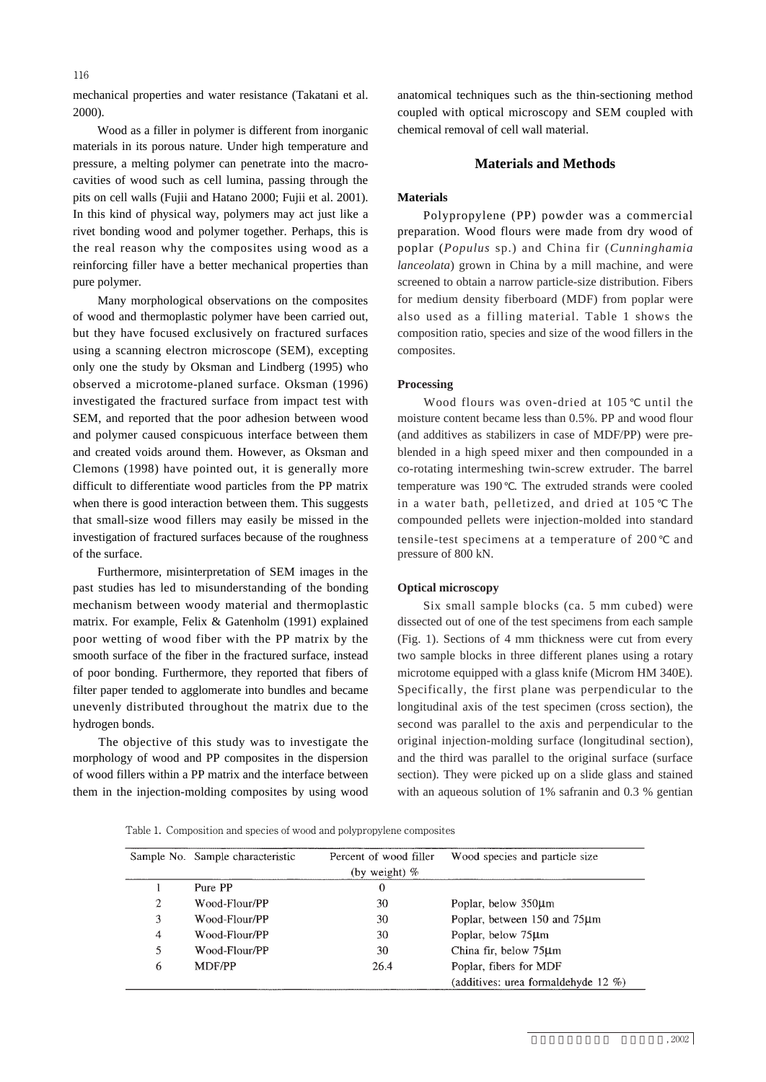116

mechanical properties and water resistance (Takatani et al. 2000).

Wood as a filler in polymer is different from inorganic materials in its porous nature. Under high temperature and pressure, a melting polymer can penetrate into the macrocavities of wood such as cell lumina, passing through the pits on cell walls (Fujii and Hatano 2000; Fujii et al. 2001). In this kind of physical way, polymers may act just like a rivet bonding wood and polymer together. Perhaps, this is the real reason why the composites using wood as a reinforcing filler have a better mechanical properties than pure polymer.

Many morphological observations on the composites of wood and thermoplastic polymer have been carried out, but they have focused exclusively on fractured surfaces using a scanning electron microscope (SEM), excepting only one the study by Oksman and Lindberg (1995) who observed a microtome-planed surface. Oksman (1996) investigated the fractured surface from impact test with SEM, and reported that the poor adhesion between wood and polymer caused conspicuous interface between them and created voids around them. However, as Oksman and Clemons (1998) have pointed out, it is generally more difficult to differentiate wood particles from the PP matrix when there is good interaction between them. This suggests that small-size wood fillers may easily be missed in the investigation of fractured surfaces because of the roughness of the surface.

Furthermore, misinterpretation of SEM images in the past studies has led to misunderstanding of the bonding mechanism between woody material and thermoplastic matrix. For example, Felix & Gatenholm (1991) explained poor wetting of wood fiber with the PP matrix by the smooth surface of the fiber in the fractured surface, instead of poor bonding. Furthermore, they reported that fibers of filter paper tended to agglomerate into bundles and became unevenly distributed throughout the matrix due to the hydrogen bonds.

The objective of this study was to investigate the morphology of wood and PP composites in the dispersion of wood fillers within a PP matrix and the interface between them in the injection-molding composites by using wood anatomical techniques such as the thin-sectioning method coupled with optical microscopy and SEM coupled with chemical removal of cell wall material.

## **Materials and Methods**

#### **Materials**

Polypropylene (PP) powder was a commercial preparation. Wood flours were made from dry wood of poplar (*Populus* sp.) and China fir (*Cunninghamia lanceolata*) grown in China by a mill machine, and were screened to obtain a narrow particle-size distribution. Fibers for medium density fiberboard (MDF) from poplar were also used as a filling material. Table 1 shows the composition ratio, species and size of the wood fillers in the composites.

### **Processing**

Wood flours was oven-dried at 105 until the moisture content became less than 0.5%. PP and wood flour (and additives as stabilizers in case of MDF/PP) were preblended in a high speed mixer and then compounded in a co-rotating intermeshing twin-screw extruder. The barrel temperature was 190 . The extruded strands were cooled in a water bath, pelletized, and dried at 105 The compounded pellets were injection-molded into standard tensile-test specimens at a temperature of 200 and pressure of 800 kN.

### **Optical microscopy**

Six small sample blocks (ca. 5 mm cubed) were dissected out of one of the test specimens from each sample (Fig. 1). Sections of 4 mm thickness were cut from every two sample blocks in three different planes using a rotary microtome equipped with a glass knife (Microm HM 340E). Specifically, the first plane was perpendicular to the longitudinal axis of the test specimen (cross section), the second was parallel to the axis and perpendicular to the original injection-molding surface (longitudinal section), and the third was parallel to the original surface (surface section). They were picked up on a slide glass and stained with an aqueous solution of 1% safranin and 0.3 % gentian

Table 1. Composition and species of wood and polypropylene composites

|   | Sample No. Sample characteristic | Percent of wood filler<br>(by weight) $%$ | Wood species and particle size      |
|---|----------------------------------|-------------------------------------------|-------------------------------------|
|   | Pure PP                          | $\Omega$                                  |                                     |
| 2 | Wood-Flour/PP                    | 30                                        | Poplar, below 350µm                 |
| 3 | Wood-Flour/PP                    | 30                                        | Poplar, between 150 and 75µm        |
| 4 | Wood-Flour/PP                    | 30                                        | Poplar, below 75µm                  |
| 5 | Wood-Flour/PP                    | 30                                        | China fir, below 75µm               |
| 6 | <b>MDF/PP</b>                    | 26.4                                      | Poplar, fibers for MDF              |
|   |                                  |                                           | (additives: urea formaldehyde 12 %) |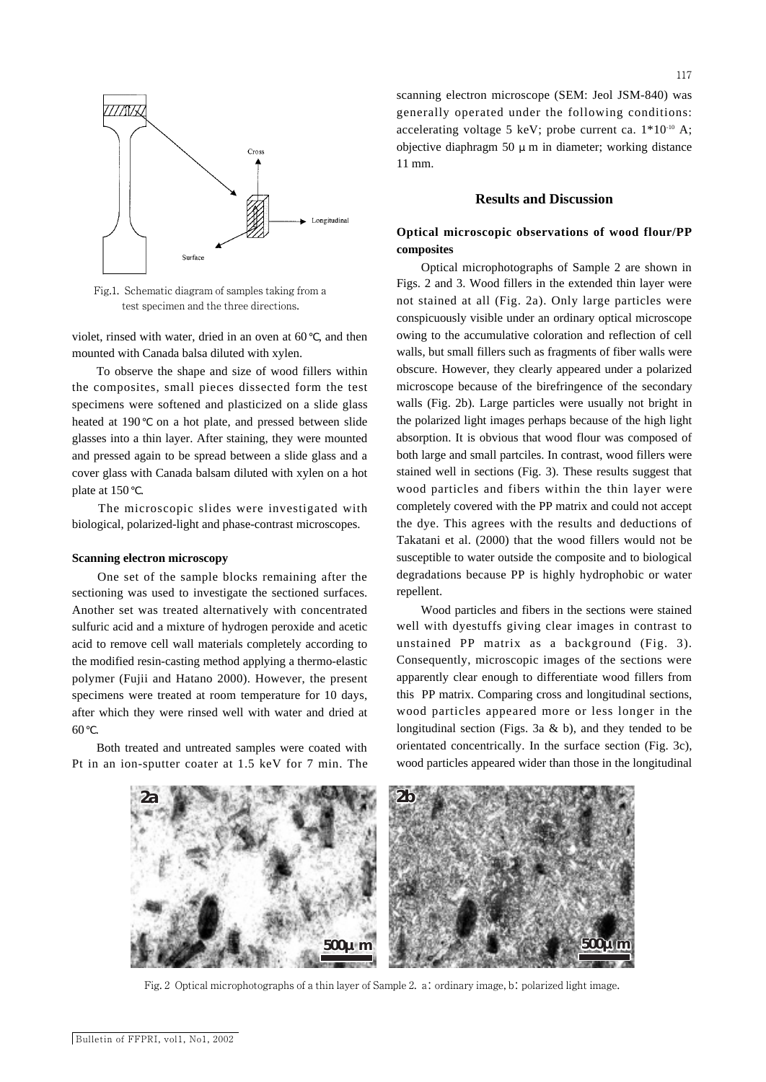

Fig.1. Schematic diagram of samples taking from a test specimen and the three directions.

violet, rinsed with water, dried in an oven at 60 , and then mounted with Canada balsa diluted with xylen.

To observe the shape and size of wood fillers within the composites, small pieces dissected form the test specimens were softened and plasticized on a slide glass heated at 190 on a hot plate, and pressed between slide glasses into a thin layer. After staining, they were mounted and pressed again to be spread between a slide glass and a cover glass with Canada balsam diluted with xylen on a hot plate at 150.

The microscopic slides were investigated with biological, polarized-light and phase-contrast microscopes.

#### **Scanning electron microscopy**

One set of the sample blocks remaining after the sectioning was used to investigate the sectioned surfaces. Another set was treated alternatively with concentrated sulfuric acid and a mixture of hydrogen peroxide and acetic acid to remove cell wall materials completely according to the modified resin-casting method applying a thermo-elastic polymer (Fujii and Hatano 2000). However, the present specimens were treated at room temperature for 10 days, after which they were rinsed well with water and dried at 60 .

Both treated and untreated samples were coated with Pt in an ion-sputter coater at 1.5 keV for 7 min. The

scanning electron microscope (SEM: Jeol JSM-840) was generally operated under the following conditions: accelerating voltage 5 keV; probe current ca. 1\*10-10 A; objective diaphragm 50  $\mu$  m in diameter; working distance 11 mm.

### **Results and Discussion**

# **Optical microscopic observations of wood flour/PP composites**

Optical microphotographs of Sample 2 are shown in Figs. 2 and 3. Wood fillers in the extended thin layer were not stained at all (Fig. 2a). Only large particles were conspicuously visible under an ordinary optical microscope owing to the accumulative coloration and reflection of cell walls, but small fillers such as fragments of fiber walls were obscure. However, they clearly appeared under a polarized microscope because of the birefringence of the secondary walls (Fig. 2b). Large particles were usually not bright in the polarized light images perhaps because of the high light absorption. It is obvious that wood flour was composed of both large and small partciles. In contrast, wood fillers were stained well in sections (Fig. 3). These results suggest that wood particles and fibers within the thin layer were completely covered with the PP matrix and could not accept the dye. This agrees with the results and deductions of Takatani et al. (2000) that the wood fillers would not be susceptible to water outside the composite and to biological degradations because PP is highly hydrophobic or water repellent.

Wood particles and fibers in the sections were stained well with dyestuffs giving clear images in contrast to unstained PP matrix as a background (Fig. 3). Consequently, microscopic images of the sections were apparently clear enough to differentiate wood fillers from this PP matrix. Comparing cross and longitudinal sections, wood particles appeared more or less longer in the longitudinal section (Figs. 3a & b), and they tended to be orientated concentrically. In the surface section (Fig. 3c), wood particles appeared wider than those in the longitudinal



Fig. 2 Optical microphotographs of a thin layer of Sample 2. a: ordinary image, b: polarized light image.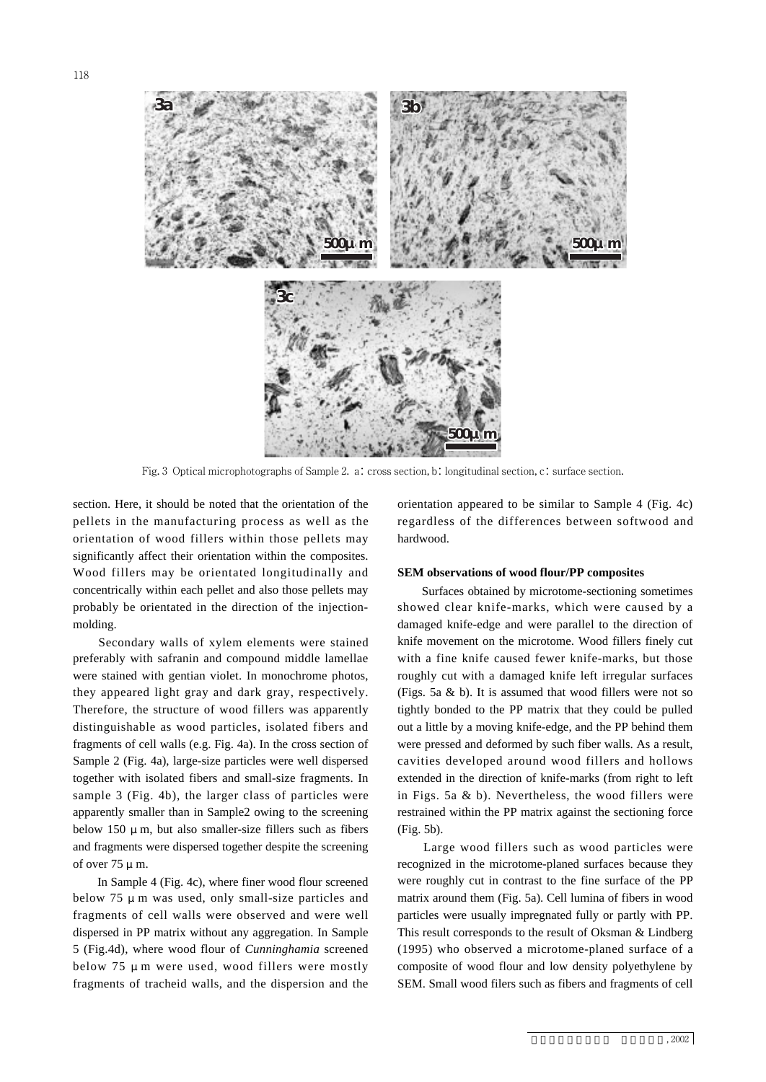

Fig. 3 Optical microphotographs of Sample 2. a: cross section, b: longitudinal section, c: surface section.

section. Here, it should be noted that the orientation of the pellets in the manufacturing process as well as the orientation of wood fillers within those pellets may significantly affect their orientation within the composites. Wood fillers may be orientated longitudinally and concentrically within each pellet and also those pellets may probably be orientated in the direction of the injectionmolding.

Secondary walls of xylem elements were stained preferably with safranin and compound middle lamellae were stained with gentian violet. In monochrome photos, they appeared light gray and dark gray, respectively. Therefore, the structure of wood fillers was apparently distinguishable as wood particles, isolated fibers and fragments of cell walls (e.g. Fig. 4a). In the cross section of Sample 2 (Fig. 4a), large-size particles were well dispersed together with isolated fibers and small-size fragments. In sample 3 (Fig. 4b), the larger class of particles were apparently smaller than in Sample2 owing to the screening below 150  $\mu$  m, but also smaller-size fillers such as fibers and fragments were dispersed together despite the screening of over  $75 \mu$  m.

In Sample 4 (Fig. 4c), where finer wood flour screened below 75  $\mu$  m was used, only small-size particles and fragments of cell walls were observed and were well dispersed in PP matrix without any aggregation. In Sample 5 (Fig.4d), where wood flour of *Cunninghamia* screened below 75 μm were used, wood fillers were mostly fragments of tracheid walls, and the dispersion and the orientation appeared to be similar to Sample 4 (Fig. 4c) regardless of the differences between softwood and **3a 3b 3c** hardwood.

#### **SEM observations of wood flour/PP composites**

Surfaces obtained by microtome-sectioning sometimes showed clear knife-marks, which were caused by a damaged knife-edge and were parallel to the direction of knife movement on the microtome. Wood fillers finely cut with a fine knife caused fewer knife-marks, but those roughly cut with a damaged knife left irregular surfaces (Figs. 5a & b). It is assumed that wood fillers were not so tightly bonded to the PP matrix that they could be pulled out a little by a moving knife-edge, and the PP behind them were pressed and deformed by such fiber walls. As a result, cavities developed around wood fillers and hollows extended in the direction of knife-marks (from right to left in Figs. 5a & b). Nevertheless, the wood fillers were restrained within the PP matrix against the sectioning force (Fig. 5b).

Large wood fillers such as wood particles were recognized in the microtome-planed surfaces because they were roughly cut in contrast to the fine surface of the PP matrix around them (Fig. 5a). Cell lumina of fibers in wood particles were usually impregnated fully or partly with PP. This result corresponds to the result of Oksman & Lindberg (1995) who observed a microtome-planed surface of a composite of wood flour and low density polyethylene by SEM. Small wood filers such as fibers and fragments of cell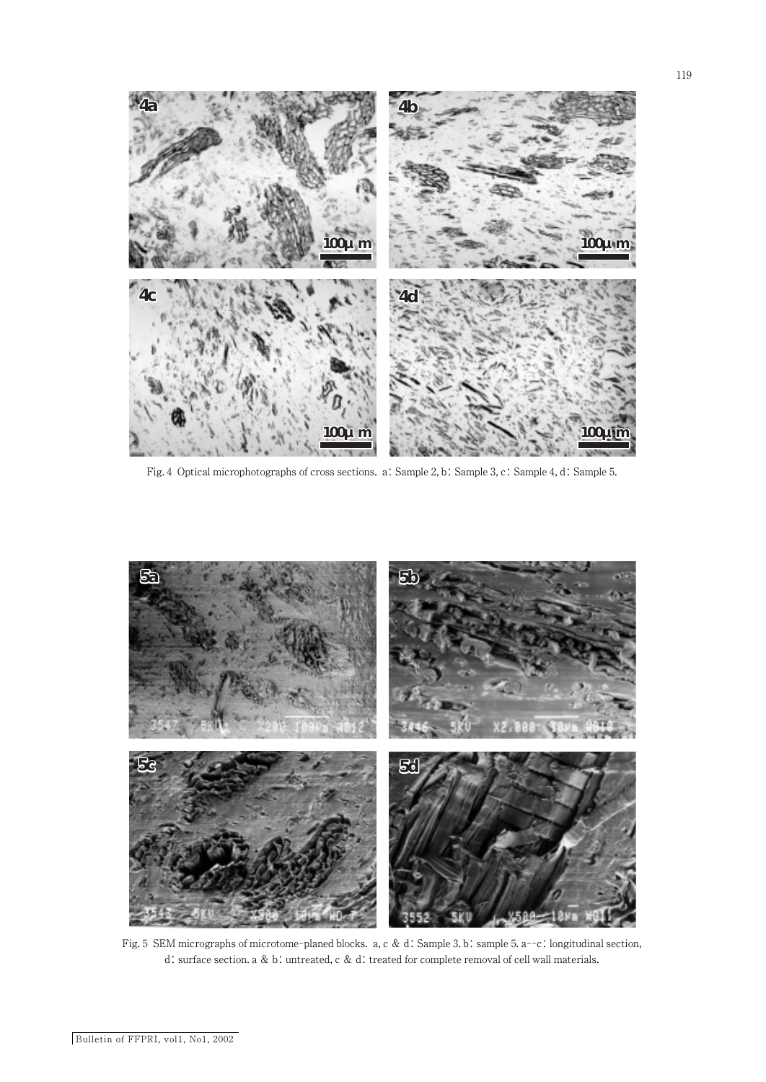



Fig. 5 SEM micrographs of microtome-planed blocks. a, c & d: Sample 3. b: sample 5. a--c: longitudinal section, d: surface section. a & b: untreated, c & d: treated for complete removal of cell wall materials.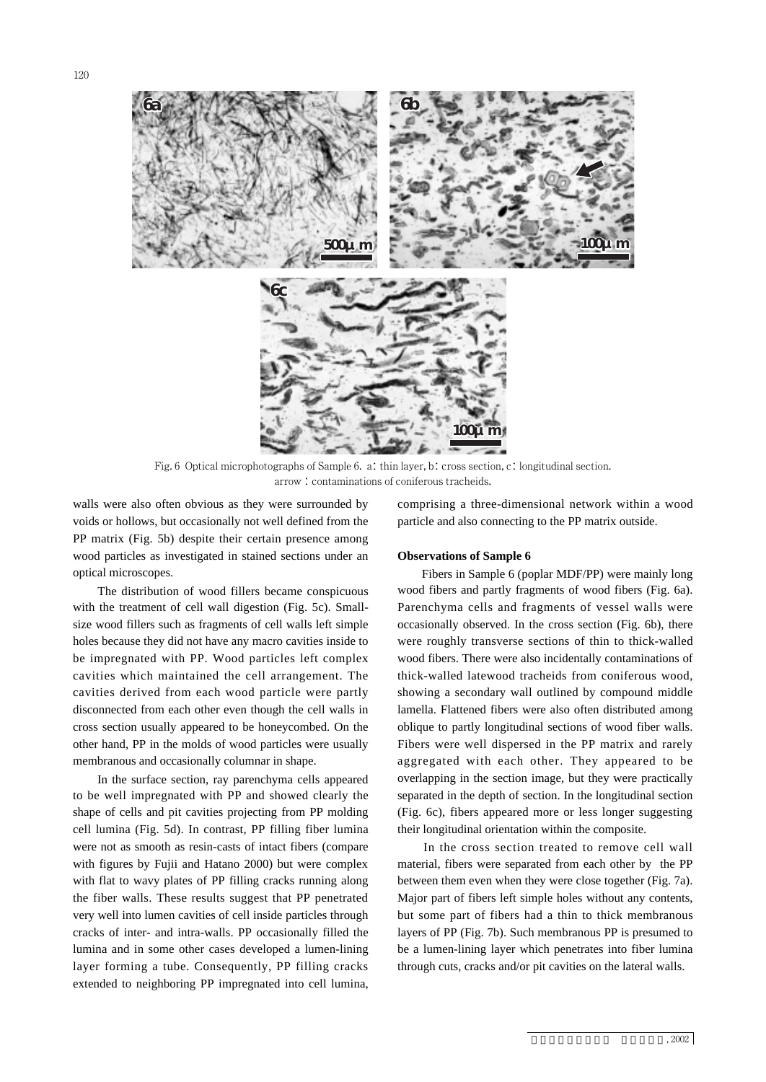

Fig. 6 Optical microphotographs of Sample 6. a: thin layer, b: cross section, c: longitudinal section. arrow : contaminations of coniferous tracheids.

walls were also often obvious as they were surrounded by voids or hollows, but occasionally not well defined from the PP matrix (Fig. 5b) despite their certain presence among wood particles as investigated in stained sections under an optical microscopes.

The distribution of wood fillers became conspicuous with the treatment of cell wall digestion (Fig. 5c). Smallsize wood fillers such as fragments of cell walls left simple holes because they did not have any macro cavities inside to be impregnated with PP. Wood particles left complex cavities which maintained the cell arrangement. The cavities derived from each wood particle were partly disconnected from each other even though the cell walls in cross section usually appeared to be honeycombed. On the other hand, PP in the molds of wood particles were usually membranous and occasionally columnar in shape.

In the surface section, ray parenchyma cells appeared to be well impregnated with PP and showed clearly the shape of cells and pit cavities projecting from PP molding cell lumina (Fig. 5d). In contrast, PP filling fiber lumina were not as smooth as resin-casts of intact fibers (compare with figures by Fujii and Hatano 2000) but were complex with flat to wavy plates of PP filling cracks running along the fiber walls. These results suggest that PP penetrated very well into lumen cavities of cell inside particles through cracks of inter- and intra-walls. PP occasionally filled the lumina and in some other cases developed a lumen-lining layer forming a tube. Consequently, PP filling cracks extended to neighboring PP impregnated into cell lumina, comprising a three-dimensional network within a wood particle and also connecting to the PP matrix outside. **6a 6b 6c**

### **Observations of Sample 6**

Fibers in Sample 6 (poplar MDF/PP) were mainly long wood fibers and partly fragments of wood fibers (Fig. 6a). Parenchyma cells and fragments of vessel walls were occasionally observed. In the cross section (Fig. 6b), there were roughly transverse sections of thin to thick-walled wood fibers. There were also incidentally contaminations of thick-walled latewood tracheids from coniferous wood, showing a secondary wall outlined by compound middle lamella. Flattened fibers were also often distributed among oblique to partly longitudinal sections of wood fiber walls. Fibers were well dispersed in the PP matrix and rarely aggregated with each other. They appeared to be overlapping in the section image, but they were practically separated in the depth of section. In the longitudinal section (Fig. 6c), fibers appeared more or less longer suggesting their longitudinal orientation within the composite.

In the cross section treated to remove cell wall material, fibers were separated from each other by the PP between them even when they were close together (Fig. 7a). Major part of fibers left simple holes without any contents, but some part of fibers had a thin to thick membranous layers of PP (Fig. 7b). Such membranous PP is presumed to be a lumen-lining layer which penetrates into fiber lumina through cuts, cracks and/or pit cavities on the lateral walls.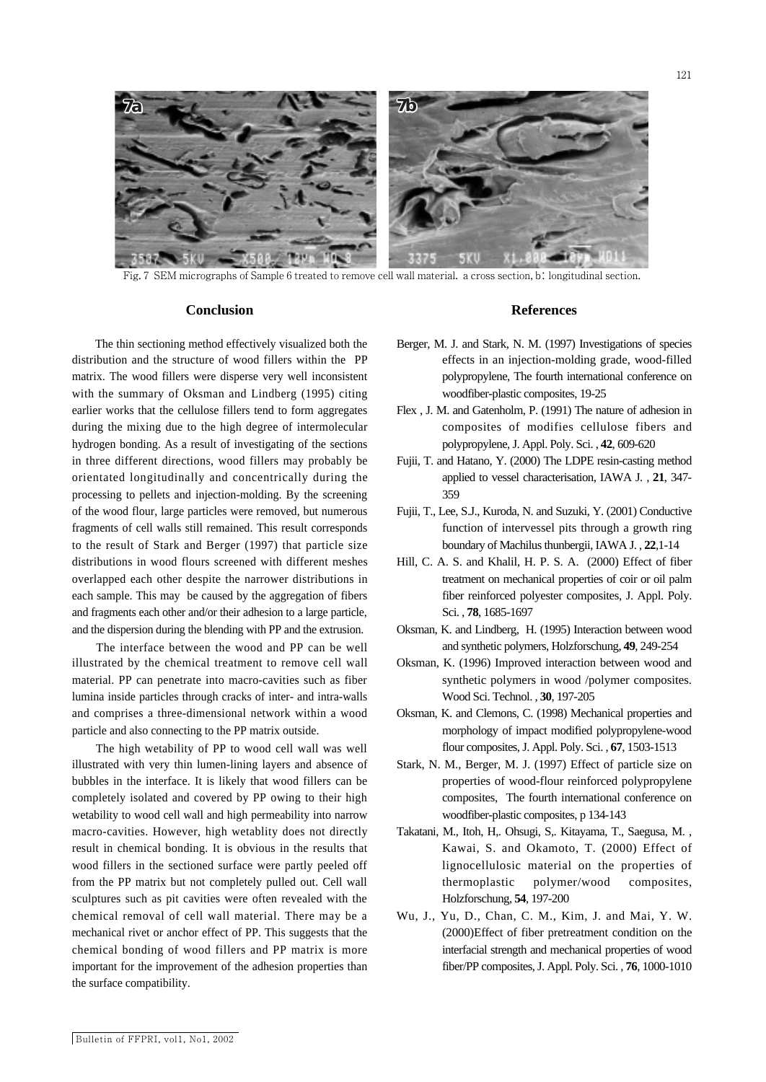

5KV

Fig. 7 SEM micrographs of Sample 6 treated to remove cell wall material. a cross section, b: longitudinal section.

#### **Conclusion**

The thin sectioning method effectively visualized both the distribution and the structure of wood fillers within the PP matrix. The wood fillers were disperse very well inconsistent with the summary of Oksman and Lindberg (1995) citing earlier works that the cellulose fillers tend to form aggregates during the mixing due to the high degree of intermolecular hydrogen bonding. As a result of investigating of the sections in three different directions, wood fillers may probably be orientated longitudinally and concentrically during the processing to pellets and injection-molding. By the screening of the wood flour, large particles were removed, but numerous fragments of cell walls still remained. This result corresponds to the result of Stark and Berger (1997) that particle size distributions in wood flours screened with different meshes overlapped each other despite the narrower distributions in each sample. This may be caused by the aggregation of fibers and fragments each other and/or their adhesion to a large particle, and the dispersion during the blending with PP and the extrusion.

The interface between the wood and PP can be well illustrated by the chemical treatment to remove cell wall material. PP can penetrate into macro-cavities such as fiber lumina inside particles through cracks of inter- and intra-walls and comprises a three-dimensional network within a wood particle and also connecting to the PP matrix outside.

The high wetability of PP to wood cell wall was well illustrated with very thin lumen-lining layers and absence of bubbles in the interface. It is likely that wood fillers can be completely isolated and covered by PP owing to their high wetability to wood cell wall and high permeability into narrow macro-cavities. However, high wetablity does not directly result in chemical bonding. It is obvious in the results that wood fillers in the sectioned surface were partly peeled off from the PP matrix but not completely pulled out. Cell wall sculptures such as pit cavities were often revealed with the chemical removal of cell wall material. There may be a mechanical rivet or anchor effect of PP. This suggests that the chemical bonding of wood fillers and PP matrix is more important for the improvement of the adhesion properties than the surface compatibility.

### **References**

- Berger, M. J. and Stark, N. M. (1997) Investigations of species effects in an injection-molding grade, wood-filled polypropylene, The fourth international conference on woodfiber-plastic composites, 19-25
- Flex , J. M. and Gatenholm, P. (1991) The nature of adhesion in composites of modifies cellulose fibers and polypropylene, J. Appl. Poly. Sci. , **42**, 609-620
- Fujii, T. and Hatano, Y. (2000) The LDPE resin-casting method applied to vessel characterisation, IAWA J. , **21**, 347- 359
- Fujii, T., Lee, S.J., Kuroda, N. and Suzuki, Y. (2001) Conductive function of intervessel pits through a growth ring boundary of Machilus thunbergii, IAWA J. , **22**,1-14
- Hill, C. A. S. and Khalil, H. P. S. A. (2000) Effect of fiber treatment on mechanical properties of coir or oil palm fiber reinforced polyester composites, J. Appl. Poly. Sci. , **78**, 1685-1697
- Oksman, K. and Lindberg, H. (1995) Interaction between wood and synthetic polymers, Holzforschung, **49**, 249-254
- Oksman, K. (1996) Improved interaction between wood and synthetic polymers in wood /polymer composites. Wood Sci. Technol. , **30**, 197-205
- Oksman, K. and Clemons, C. (1998) Mechanical properties and morphology of impact modified polypropylene-wood flour composites, J. Appl. Poly. Sci. , **67**, 1503-1513
- Stark, N. M., Berger, M. J. (1997) Effect of particle size on properties of wood-flour reinforced polypropylene composites, The fourth international conference on woodfiber-plastic composites, p 134-143
- Takatani, M., Itoh, H,. Ohsugi, S,. Kitayama, T., Saegusa, M. , Kawai, S. and Okamoto, T. (2000) Effect of lignocellulosic material on the properties of thermoplastic polymer/wood composites, Holzforschung, **54**, 197-200
- Wu, J., Yu, D., Chan, C. M., Kim, J. and Mai, Y. W. (2000)Effect of fiber pretreatment condition on the interfacial strength and mechanical properties of wood fiber/PP composites, J. Appl. Poly. Sci. , **76**, 1000-1010